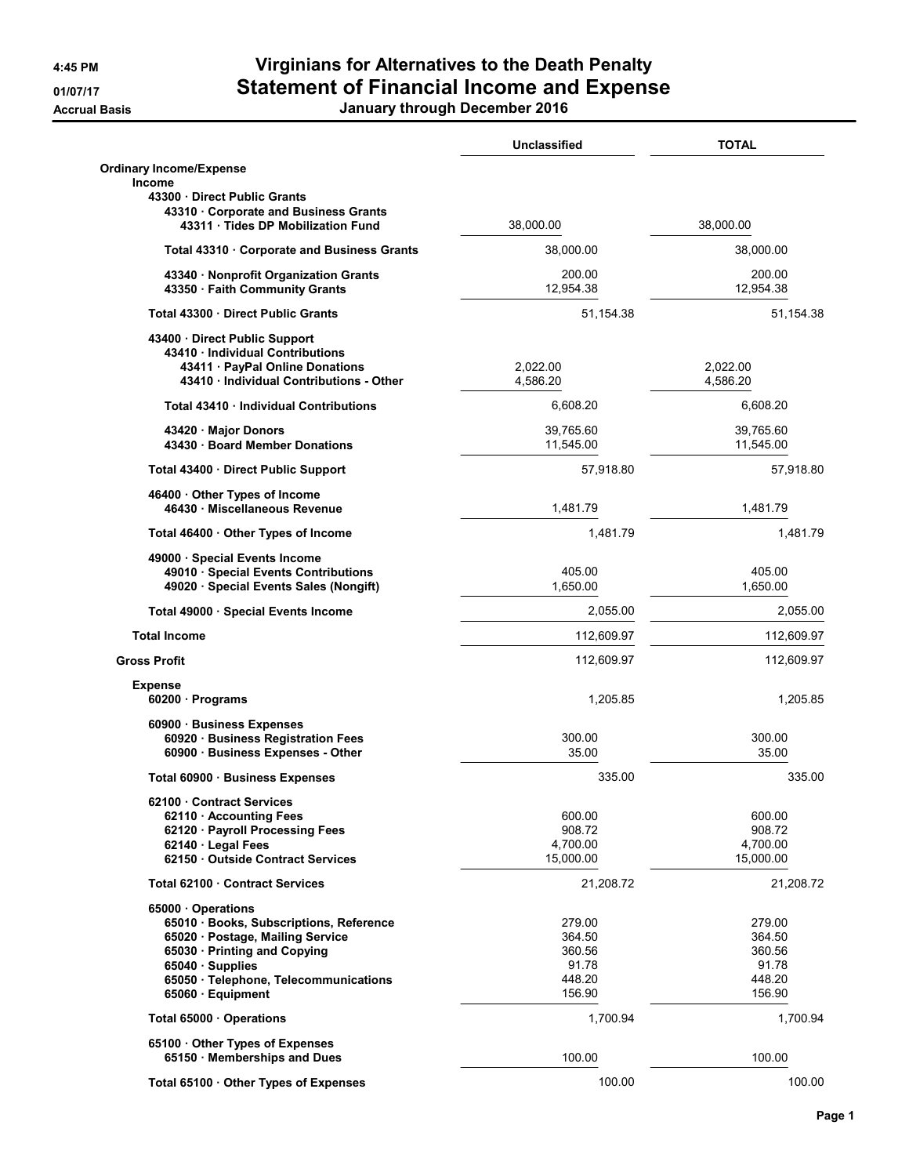## 4:45 PM Virginians for Alternatives to the Death Penalty 01/07/17 Statement of Financial Income and Expense

Accrual Basis January through December 2016

|                                                                           | Unclassified          | <b>TOTAL</b>           |
|---------------------------------------------------------------------------|-----------------------|------------------------|
| <b>Ordinary Income/Expense</b><br><b>Income</b>                           |                       |                        |
| 43300 Direct Public Grants                                                |                       |                        |
| 43310 Corporate and Business Grants<br>43311 · Tides DP Mobilization Fund | 38,000.00             | 38,000.00              |
| Total 43310 · Corporate and Business Grants                               | 38,000.00             | 38,000.00              |
| 43340 · Nonprofit Organization Grants<br>43350 · Faith Community Grants   | 200.00<br>12,954.38   | 200.00<br>12,954.38    |
| Total 43300 · Direct Public Grants                                        | 51,154.38             | 51,154.38              |
| 43400 Direct Public Support                                               |                       |                        |
| 43410 · Individual Contributions                                          |                       |                        |
| 43411 · PayPal Online Donations                                           | 2,022.00              | 2,022.00               |
| 43410 Individual Contributions - Other                                    | 4,586.20              | 4,586.20               |
| Total 43410 Individual Contributions                                      | 6,608.20              | 6,608.20               |
|                                                                           | 39,765.60             |                        |
| 43420 · Major Donors<br>43430 · Board Member Donations                    | 11,545.00             | 39,765.60<br>11,545.00 |
| Total 43400 · Direct Public Support                                       | 57,918.80             | 57,918.80              |
| 46400 Other Types of Income                                               |                       |                        |
| 46430 · Miscellaneous Revenue                                             | 1,481.79              | 1,481.79               |
| Total 46400 · Other Types of Income                                       | 1,481.79              | 1,481.79               |
| 49000 · Special Events Income                                             |                       |                        |
| 49010 · Special Events Contributions                                      | 405.00                | 405.00                 |
| 49020 · Special Events Sales (Nongift)                                    | 1,650.00              | 1,650.00               |
|                                                                           |                       |                        |
| Total 49000 · Special Events Income                                       | 2,055.00              | 2,055.00               |
| <b>Total Income</b>                                                       | 112,609.97            | 112,609.97             |
| <b>Gross Profit</b>                                                       | 112,609.97            | 112,609.97             |
| <b>Expense</b>                                                            |                       |                        |
| $60200 \cdot$ Programs                                                    | 1,205.85              | 1,205.85               |
| 60900 · Business Expenses                                                 |                       |                        |
| 60920 · Business Registration Fees                                        | 300.00                | 300.00                 |
| 60900 · Business Expenses - Other                                         | 35.00                 | 35.00                  |
| Total 60900 · Business Expenses                                           | 335.00                | 335.00                 |
|                                                                           |                       |                        |
| 62100 Contract Services                                                   |                       |                        |
| 62110 Accounting Fees                                                     | 600.00                | 600.00                 |
| 62120 · Payroll Processing Fees                                           | 908.72                | 908.72                 |
| 62140 · Legal Fees<br>62150 Outside Contract Services                     | 4,700.00<br>15,000.00 | 4,700.00<br>15,000.00  |
|                                                                           |                       |                        |
| Total 62100 Contract Services                                             | 21,208.72             | 21,208.72              |
| 65000 Operations                                                          |                       |                        |
| 65010 · Books, Subscriptions, Reference                                   | 279.00                | 279.00                 |
| 65020 · Postage, Mailing Service                                          | 364.50                | 364.50                 |
| 65030 · Printing and Copying                                              | 360.56                | 360.56                 |
| 65040 · Supplies                                                          | 91.78                 | 91.78                  |
| 65050 · Telephone, Telecommunications                                     | 448.20                | 448.20                 |
| 65060 · Equipment                                                         | 156.90                | 156.90                 |
| Total 65000 · Operations                                                  | 1,700.94              | 1,700.94               |
| 65100 Other Types of Expenses                                             |                       |                        |
| 65150 · Memberships and Dues                                              | 100.00                | 100.00                 |
| Total 65100 · Other Types of Expenses                                     | 100.00                | 100.00                 |